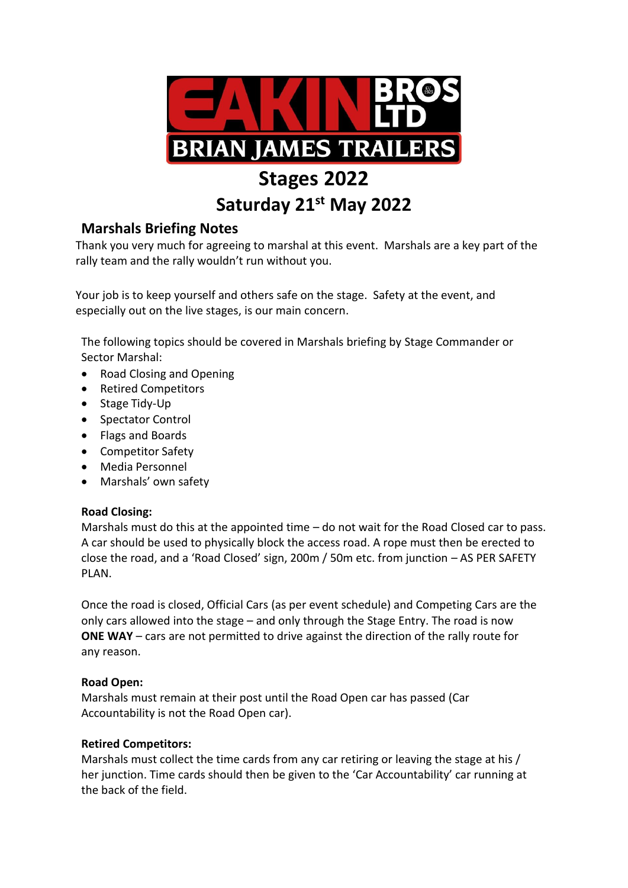

# **Stages 2022**

# **Saturday 21st May 2022**

# **Marshals Briefing Notes**

Thank you very much for agreeing to marshal at this event. Marshals are a key part of the rally team and the rally wouldn't run without you.

Your job is to keep yourself and others safe on the stage. Safety at the event, and especially out on the live stages, is our main concern.

The following topics should be covered in Marshals briefing by Stage Commander or Sector Marshal:

- Road Closing and Opening
- Retired Competitors
- Stage Tidy-Up
- Spectator Control
- Flags and Boards
- Competitor Safety
- Media Personnel
- Marshals' own safety

# **Road Closing:**

Marshals must do this at the appointed time – do not wait for the Road Closed car to pass. A car should be used to physically block the access road. A rope must then be erected to close the road, and a 'Road Closed' sign, 200m / 50m etc. from junction – AS PER SAFETY PLAN.

Once the road is closed, Official Cars (as per event schedule) and Competing Cars are the only cars allowed into the stage – and only through the Stage Entry. The road is now **ONE WAY** – cars are not permitted to drive against the direction of the rally route for any reason.

# **Road Open:**

Marshals must remain at their post until the Road Open car has passed (Car Accountability is not the Road Open car).

# **Retired Competitors:**

Marshals must collect the time cards from any car retiring or leaving the stage at his / her junction. Time cards should then be given to the 'Car Accountability' car running at the back of the field.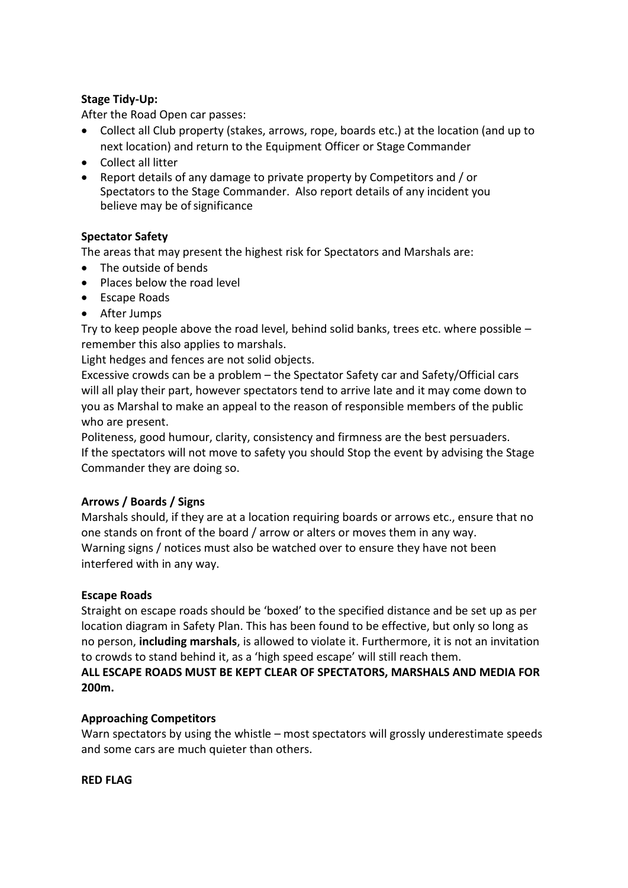## **Stage Tidy-Up:**

After the Road Open car passes:

- Collect all Club property (stakes, arrows, rope, boards etc.) at the location (and up to next location) and return to the Equipment Officer or Stage Commander
- Collect all litter
- Report details of any damage to private property by Competitors and / or Spectators to the Stage Commander. Also report details of any incident you believe may be of significance

# **Spectator Safety**

The areas that may present the highest risk for Spectators and Marshals are:

- The outside of bends
- Places below the road level
- Escape Roads
- After Jumps

Try to keep people above the road level, behind solid banks, trees etc. where possible – remember this also applies to marshals.

Light hedges and fences are not solid objects.

Excessive crowds can be a problem – the Spectator Safety car and Safety/Official cars will all play their part, however spectators tend to arrive late and it may come down to you as Marshal to make an appeal to the reason of responsible members of the public who are present.

Politeness, good humour, clarity, consistency and firmness are the best persuaders. If the spectators will not move to safety you should Stop the event by advising the Stage Commander they are doing so.

#### **Arrows / Boards / Signs**

Marshals should, if they are at a location requiring boards or arrows etc., ensure that no one stands on front of the board / arrow or alters or moves them in any way. Warning signs / notices must also be watched over to ensure they have not been interfered with in any way.

#### **Escape Roads**

Straight on escape roads should be 'boxed' to the specified distance and be set up as per location diagram in Safety Plan. This has been found to be effective, but only so long as no person, **including marshals**, is allowed to violate it. Furthermore, it is not an invitation to crowds to stand behind it, as a 'high speed escape' will still reach them.

**ALL ESCAPE ROADS MUST BE KEPT CLEAR OF SPECTATORS, MARSHALS AND MEDIA FOR 200m.**

#### **Approaching Competitors**

Warn spectators by using the whistle – most spectators will grossly underestimate speeds and some cars are much quieter than others.

#### **RED FLAG**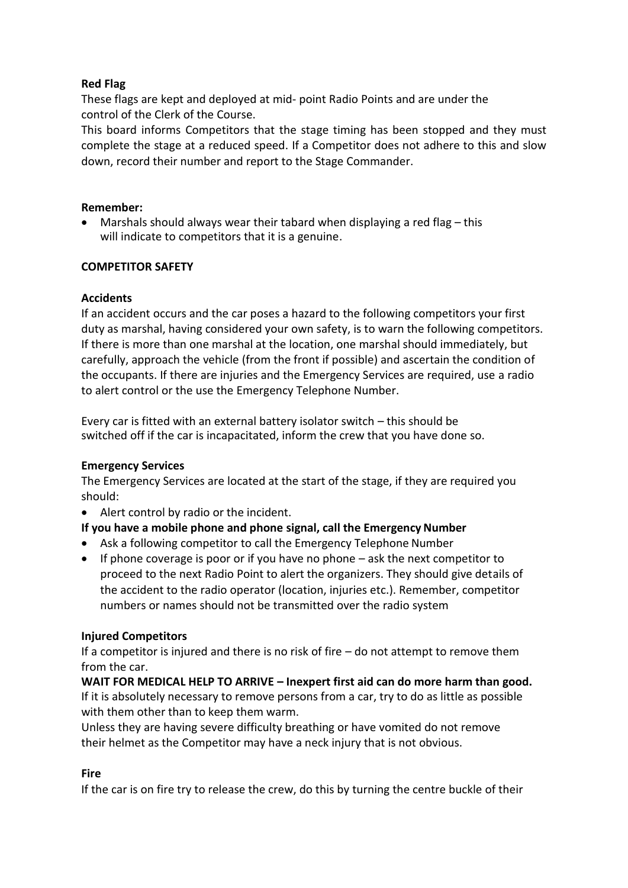# **Red Flag**

These flags are kept and deployed at mid- point Radio Points and are under the control of the Clerk of the Course.

This board informs Competitors that the stage timing has been stopped and they must complete the stage at a reduced speed. If a Competitor does not adhere to this and slow down, record their number and report to the Stage Commander.

#### **Remember:**

 Marshals should always wear their tabard when displaying a red flag – this will indicate to competitors that it is a genuine.

#### **COMPETITOR SAFETY**

#### **Accidents**

If an accident occurs and the car poses a hazard to the following competitors your first duty as marshal, having considered your own safety, is to warn the following competitors. If there is more than one marshal at the location, one marshal should immediately, but carefully, approach the vehicle (from the front if possible) and ascertain the condition of the occupants. If there are injuries and the Emergency Services are required, use a radio to alert control or the use the Emergency Telephone Number.

Every car is fitted with an external battery isolator switch – this should be switched off if the car is incapacitated, inform the crew that you have done so.

#### **Emergency Services**

The Emergency Services are located at the start of the stage, if they are required you should:

Alert control by radio or the incident.

# **If you have a mobile phone and phone signal, call the Emergency Number**

- Ask a following competitor to call the Emergency Telephone Number
- $\bullet$  If phone coverage is poor or if you have no phone ask the next competitor to proceed to the next Radio Point to alert the organizers. They should give details of the accident to the radio operator (location, injuries etc.). Remember, competitor numbers or names should not be transmitted over the radio system

#### **Injured Competitors**

If a competitor is injured and there is no risk of fire – do not attempt to remove them from the car.

**WAIT FOR MEDICAL HELP TO ARRIVE – Inexpert first aid can do more harm than good.** If it is absolutely necessary to remove persons from a car, try to do as little as possible with them other than to keep them warm.

Unless they are having severe difficulty breathing or have vomited do not remove their helmet as the Competitor may have a neck injury that is not obvious.

#### **Fire**

If the car is on fire try to release the crew, do this by turning the centre buckle of their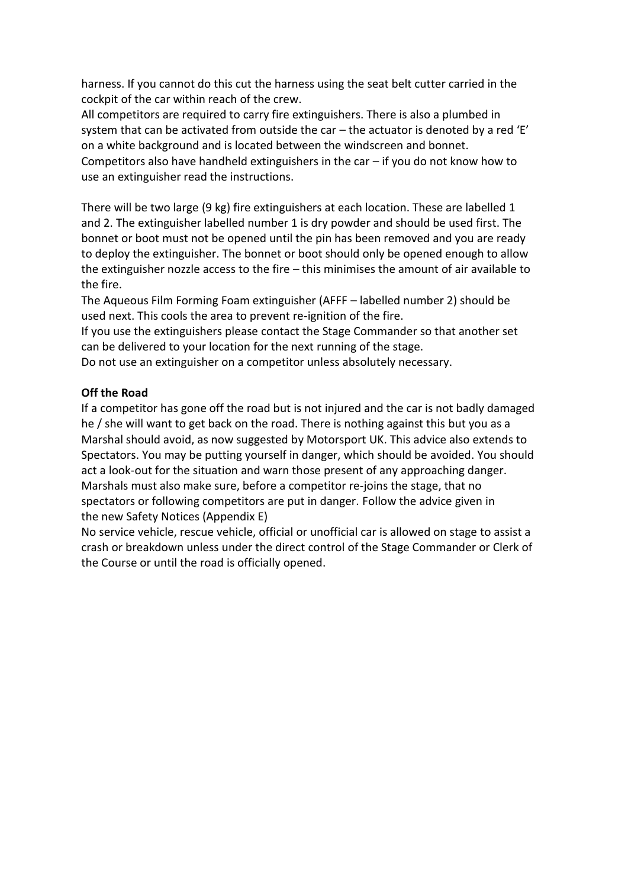harness. If you cannot do this cut the harness using the seat belt cutter carried in the cockpit of the car within reach of the crew.

All competitors are required to carry fire extinguishers. There is also a plumbed in system that can be activated from outside the car – the actuator is denoted by a red 'E' on a white background and is located between the windscreen and bonnet. Competitors also have handheld extinguishers in the car  $-$  if you do not know how to use an extinguisher read the instructions.

There will be two large (9 kg) fire extinguishers at each location. These are labelled 1 and 2. The extinguisher labelled number 1 is dry powder and should be used first. The bonnet or boot must not be opened until the pin has been removed and you are ready to deploy the extinguisher. The bonnet or boot should only be opened enough to allow the extinguisher nozzle access to the fire – this minimises the amount of air available to the fire.

The Aqueous Film Forming Foam extinguisher (AFFF – labelled number 2) should be used next. This cools the area to prevent re-ignition of the fire.

If you use the extinguishers please contact the Stage Commander so that another set can be delivered to your location for the next running of the stage.

Do not use an extinguisher on a competitor unless absolutely necessary.

#### **Off the Road**

If a competitor has gone off the road but is not injured and the car is not badly damaged he / she will want to get back on the road. There is nothing against this but you as a Marshal should avoid, as now suggested by Motorsport UK. This advice also extends to Spectators. You may be putting yourself in danger, which should be avoided. You should act a look-out for the situation and warn those present of any approaching danger. Marshals must also make sure, before a competitor re-joins the stage, that no spectators or following competitors are put in danger. Follow the advice given in the new Safety Notices (Appendix E)

No service vehicle, rescue vehicle, official or unofficial car is allowed on stage to assist a crash or breakdown unless under the direct control of the Stage Commander or Clerk of the Course or until the road is officially opened.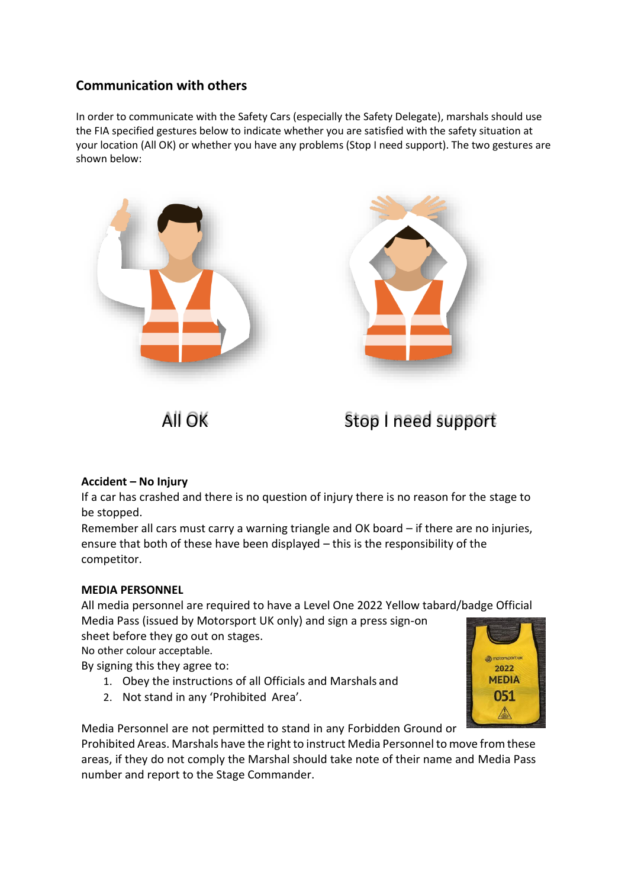# **Communication with others**

In order to communicate with the Safety Cars (especially the Safety Delegate), marshals should use the FIA specified gestures below to indicate whether you are satisfied with the safety situation at your location (All OK) or whether you have any problems (Stop I need support). The two gestures are shown below:







# **Accident – No Injury**

If a car has crashed and there is no question of injury there is no reason for the stage to be stopped.

Remember all cars must carry a warning triangle and OK board – if there are no injuries, ensure that both of these have been displayed – this is the responsibility of the competitor.

#### **MEDIA PERSONNEL**

All media personnel are required to have a Level One 2022 Yellow tabard/badge Official Media Pass (issued by Motorsport UK only) and sign a press sign-on

sheet before they go out on stages.

No other colour acceptable.

By signing this they agree to:

- 1. Obey the instructions of all Officials and Marshals and
- 2. Not stand in any 'Prohibited Area'.



Media Personnel are not permitted to stand in any Forbidden Ground or

Prohibited Areas. Marshals have the right to instruct Media Personnel to move from these areas, if they do not comply the Marshal should take note of their name and Media Pass number and report to the Stage Commander.